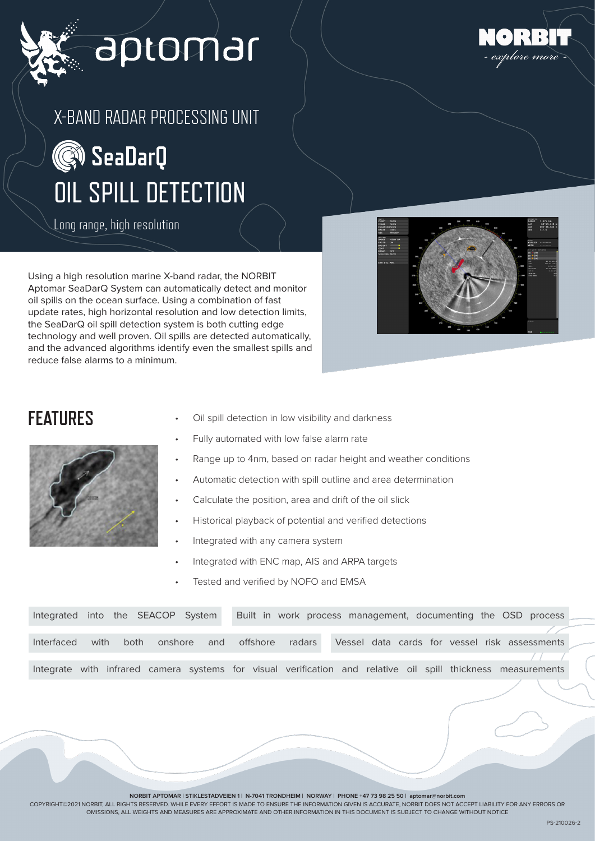

# aptomar





Long range, high resolution

Using a high resolution marine X-band radar, the NORBIT Aptomar SeaDarQ System can automatically detect and monitor oil spills on the ocean surface. Using a combination of fast update rates, high horizontal resolution and low detection limits, the SeaDarQ oil spill detection system is both cutting edge technology and well proven. Oil spills are detected automatically, and the advanced algorithms identify even the smallest spills and reduce false alarms to a minimum.





- FEATURES Oil spill detection in low visibility and darkness
	- Fully automated with low false alarm rate
	- Range up to 4nm, based on radar height and weather conditions
	- Automatic detection with spill outline and area determination
	- Calculate the position, area and drift of the oil slick
	- Historical playback of potential and verified detections
	- Integrated with any camera system
	- Integrated with ENC map, AIS and ARPA targets
	- Tested and verified by NOFO and EMSA

| Integrated into the SEACOP System |      |      |         |     |  | Built in work process management, documenting the OSD process                                                |  |  |  |                                               |  |
|-----------------------------------|------|------|---------|-----|--|--------------------------------------------------------------------------------------------------------------|--|--|--|-----------------------------------------------|--|
|                                   |      |      |         |     |  |                                                                                                              |  |  |  |                                               |  |
| Interfaced                        | with | both | onshore | and |  | offshore radars                                                                                              |  |  |  | Vessel data cards for vessel risk assessments |  |
|                                   |      |      |         |     |  |                                                                                                              |  |  |  |                                               |  |
|                                   |      |      |         |     |  | Integrate with infrared camera systems for visual verification and relative oil spill thickness measurements |  |  |  |                                               |  |

**NORBIT APTOMAR | STIKLESTADVEIEN 1 | N-7041 TRONDHEIM | NORWAY | PHONE +47 73 98 25 50 | aptomar@norbit.com**

COPYRIGHT©2021 NORBIT, ALL RIGHTS RESERVED. WHILE EVERY EFFORT IS MADE TO ENSURE THE INFORMATION GIVEN IS ACCURATE, NORBIT DOES NOT ACCEPT LIABILITY FOR ANY ERRORS OR OMISSIONS, ALL WEIGHTS AND MEASURES ARE APPROXIMATE AND OTHER INFORMATION IN THIS DOCUMENT IS SUBJECT TO CHANGE WITHOUT NOTICE